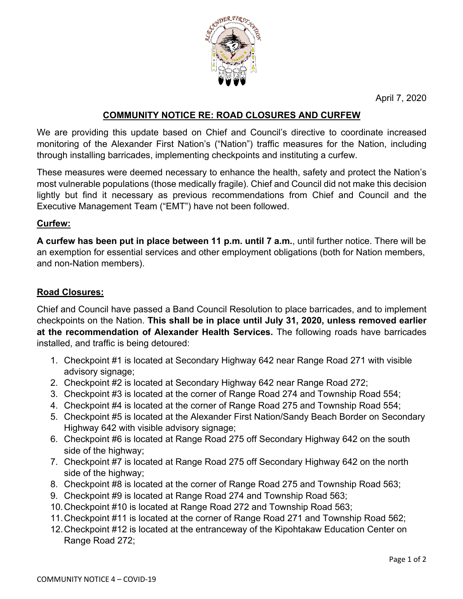

April 7, 2020

## **COMMUNITY NOTICE RE: ROAD CLOSURES AND CURFEW**

We are providing this update based on Chief and Council's directive to coordinate increased monitoring of the Alexander First Nation's ("Nation") traffic measures for the Nation, including through installing barricades, implementing checkpoints and instituting a curfew.

These measures were deemed necessary to enhance the health, safety and protect the Nation's most vulnerable populations (those medically fragile). Chief and Council did not make this decision lightly but find it necessary as previous recommendations from Chief and Council and the Executive Management Team ("EMT") have not been followed.

### **Curfew:**

**A curfew has been put in place between 11 p.m. until 7 a.m.**, until further notice. There will be an exemption for essential services and other employment obligations (both for Nation members, and non-Nation members).

### **Road Closures:**

Chief and Council have passed a Band Council Resolution to place barricades, and to implement checkpoints on the Nation. **This shall be in place until July 31, 2020, unless removed earlier at the recommendation of Alexander Health Services.** The following roads have barricades installed, and traffic is being detoured:

- 1. Checkpoint #1 is located at Secondary Highway 642 near Range Road 271 with visible advisory signage;
- 2. Checkpoint #2 is located at Secondary Highway 642 near Range Road 272;
- 3. Checkpoint #3 is located at the corner of Range Road 274 and Township Road 554;
- 4. Checkpoint #4 is located at the corner of Range Road 275 and Township Road 554;
- 5. Checkpoint #5 is located at the Alexander First Nation/Sandy Beach Border on Secondary Highway 642 with visible advisory signage;
- 6. Checkpoint #6 is located at Range Road 275 off Secondary Highway 642 on the south side of the highway;
- 7. Checkpoint #7 is located at Range Road 275 off Secondary Highway 642 on the north side of the highway;
- 8. Checkpoint #8 is located at the corner of Range Road 275 and Township Road 563;
- 9. Checkpoint #9 is located at Range Road 274 and Township Road 563;
- 10.Checkpoint #10 is located at Range Road 272 and Township Road 563;
- 11.Checkpoint #11 is located at the corner of Range Road 271 and Township Road 562;
- 12.Checkpoint #12 is located at the entranceway of the Kipohtakaw Education Center on Range Road 272;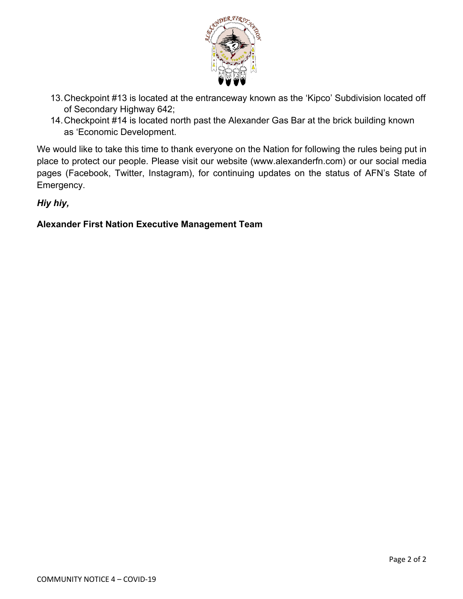

- 13.Checkpoint #13 is located at the entranceway known as the 'Kipco' Subdivision located off of Secondary Highway 642;
- 14.Checkpoint #14 is located north past the Alexander Gas Bar at the brick building known as 'Economic Development.

We would like to take this time to thank everyone on the Nation for following the rules being put in place to protect our people. Please visit our website (www.alexanderfn.com) or our social media pages (Facebook, Twitter, Instagram), for continuing updates on the status of AFN's State of Emergency.

*Hiy hiy,* 

# **Alexander First Nation Executive Management Team**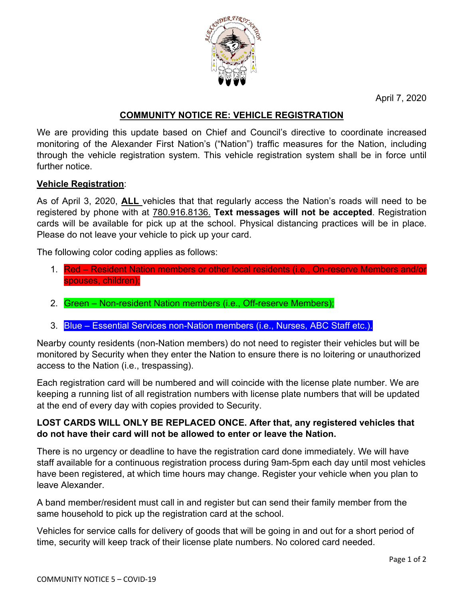

April 7, 2020

# **COMMUNITY NOTICE RE: VEHICLE REGISTRATION**

We are providing this update based on Chief and Council's directive to coordinate increased monitoring of the Alexander First Nation's ("Nation") traffic measures for the Nation, including through the vehicle registration system. This vehicle registration system shall be in force until further notice.

### **Vehicle Registration**:

As of April 3, 2020, **ALL** vehicles that that regularly access the Nation's roads will need to be registered by phone with at 780.916.8136. **Text messages will not be accepted**. Registration cards will be available for pick up at the school. Physical distancing practices will be in place. Please do not leave your vehicle to pick up your card.

The following color coding applies as follows:

- 1. Red Resident Nation members or other local residents (i.e., On-reserve Members and/or spouses, children);
- 2. Green Non-resident Nation members (i.e., Off-reserve Members);
- 3. Blue Essential Services non-Nation members (i.e., Nurses, ABC Staff etc.).

Nearby county residents (non-Nation members) do not need to register their vehicles but will be monitored by Security when they enter the Nation to ensure there is no loitering or unauthorized access to the Nation (i.e., trespassing).

Each registration card will be numbered and will coincide with the license plate number. We are keeping a running list of all registration numbers with license plate numbers that will be updated at the end of every day with copies provided to Security.

### **LOST CARDS WILL ONLY BE REPLACED ONCE. After that, any registered vehicles that do not have their card will not be allowed to enter or leave the Nation.**

There is no urgency or deadline to have the registration card done immediately. We will have staff available for a continuous registration process during 9am-5pm each day until most vehicles have been registered, at which time hours may change. Register your vehicle when you plan to leave Alexander.

A band member/resident must call in and register but can send their family member from the same household to pick up the registration card at the school.

Vehicles for service calls for delivery of goods that will be going in and out for a short period of time, security will keep track of their license plate numbers. No colored card needed.